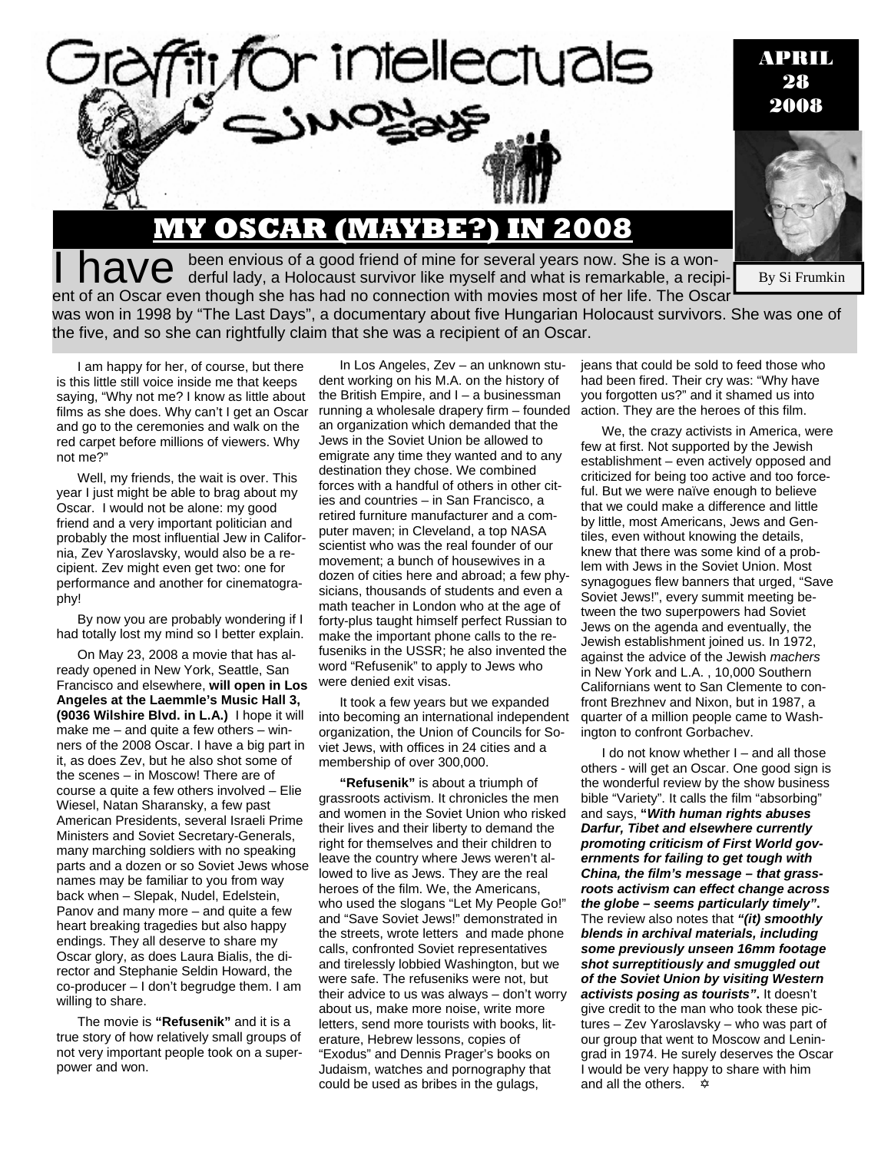

APRIL 28 2008

By Si Frumkin

I have been envious of a good friend of mine for several years now. She is a won-<br>I have derful lady, a Holocaust survivor like myself and what is remarkable, a recipient of an Oscar even though she has had no connection with movies most of her life. The Oscar

**MY OSCAR (MAYBE?) IN 2008**

was won in 1998 by "The Last Days", a documentary about five Hungarian Holocaust survivors. She was one of the five, and so she can rightfully claim that she was a recipient of an Oscar.

I am happy for her, of course, but there is this little still voice inside me that keeps saying, "Why not me? I know as little about films as she does. Why can't I get an Oscar and go to the ceremonies and walk on the red carpet before millions of viewers. Why not me?"

Well, my friends, the wait is over. This year I just might be able to brag about my Oscar. I would not be alone: my good friend and a very important politician and probably the most influential Jew in California, Zev Yaroslavsky, would also be a recipient. Zev might even get two: one for performance and another for cinematography!

By now you are probably wondering if I had totally lost my mind so I better explain.

On May 23, 2008 a movie that has already opened in New York, Seattle, San Francisco and elsewhere, **will open in Los Angeles at the Laemmle's Music Hall 3, (9036 Wilshire Blvd. in L.A.)** I hope it will make me – and quite a few others – winners of the 2008 Oscar. I have a big part in it, as does Zev, but he also shot some of the scenes – in Moscow! There are of course a quite a few others involved – Elie Wiesel, Natan Sharansky, a few past American Presidents, several Israeli Prime Ministers and Soviet Secretary-Generals, many marching soldiers with no speaking parts and a dozen or so Soviet Jews whose names may be familiar to you from way back when – Slepak, Nudel, Edelstein, Panov and many more – and quite a few heart breaking tragedies but also happy endings. They all deserve to share my Oscar glory, as does Laura Bialis, the director and Stephanie Seldin Howard, the co-producer – I don't begrudge them. I am willing to share.

The movie is **"Refusenik"** and it is a true story of how relatively small groups of not very important people took on a superpower and won.

In Los Angeles, Zev – an unknown student working on his M.A. on the history of the British Empire, and I – a businessman running a wholesale drapery firm – founded an organization which demanded that the Jews in the Soviet Union be allowed to emigrate any time they wanted and to any destination they chose. We combined forces with a handful of others in other cities and countries – in San Francisco, a retired furniture manufacturer and a computer maven; in Cleveland, a top NASA scientist who was the real founder of our movement; a bunch of housewives in a dozen of cities here and abroad; a few physicians, thousands of students and even a math teacher in London who at the age of forty-plus taught himself perfect Russian to make the important phone calls to the refuseniks in the USSR; he also invented the word "Refusenik" to apply to Jews who were denied exit visas.

It took a few years but we expanded into becoming an international independent organization, the Union of Councils for Soviet Jews, with offices in 24 cities and a membership of over 300,000.

**"Refusenik"** is about a triumph of grassroots activism. It chronicles the men and women in the Soviet Union who risked their lives and their liberty to demand the right for themselves and their children to leave the country where Jews weren't allowed to live as Jews. They are the real heroes of the film. We, the Americans, who used the slogans "Let My People Go!" and "Save Soviet Jews!" demonstrated in the streets, wrote letters and made phone calls, confronted Soviet representatives and tirelessly lobbied Washington, but we were safe. The refuseniks were not, but their advice to us was always – don't worry about us, make more noise, write more letters, send more tourists with books, literature, Hebrew lessons, copies of "Exodus" and Dennis Prager's books on Judaism, watches and pornography that could be used as bribes in the gulags,

jeans that could be sold to feed those who had been fired. Their cry was: "Why have you forgotten us?" and it shamed us into action. They are the heroes of this film.

We, the crazy activists in America, were few at first. Not supported by the Jewish establishment – even actively opposed and criticized for being too active and too forceful. But we were naïve enough to believe that we could make a difference and little by little, most Americans, Jews and Gentiles, even without knowing the details, knew that there was some kind of a problem with Jews in the Soviet Union. Most synagogues flew banners that urged, "Save Soviet Jews!", every summit meeting between the two superpowers had Soviet Jews on the agenda and eventually, the Jewish establishment joined us. In 1972, against the advice of the Jewish *machers* in New York and L.A. , 10,000 Southern Californians went to San Clemente to confront Brezhnev and Nixon, but in 1987, a quarter of a million people came to Washington to confront Gorbachev.

I do not know whether I – and all those others - will get an Oscar. One good sign is the wonderful review by the show business bible "Variety". It calls the film "absorbing" and says, **"***With human rights abuses Darfur, Tibet and elsewhere currently promoting criticism of First World governments for failing to get tough with China, the film's message – that grassroots activism can effect change across the globe – seems particularly timely"***.** The review also notes that *"(it) smoothly blends in archival materials, including some previously unseen 16mm footage shot surreptitiously and smuggled out of the Soviet Union by visiting Western activists posing as tourists"***.** It doesn't give credit to the man who took these pictures – Zev Yaroslavsky – who was part of our group that went to Moscow and Leningrad in 1974. He surely deserves the Oscar I would be very happy to share with him and all the others.  $\oint$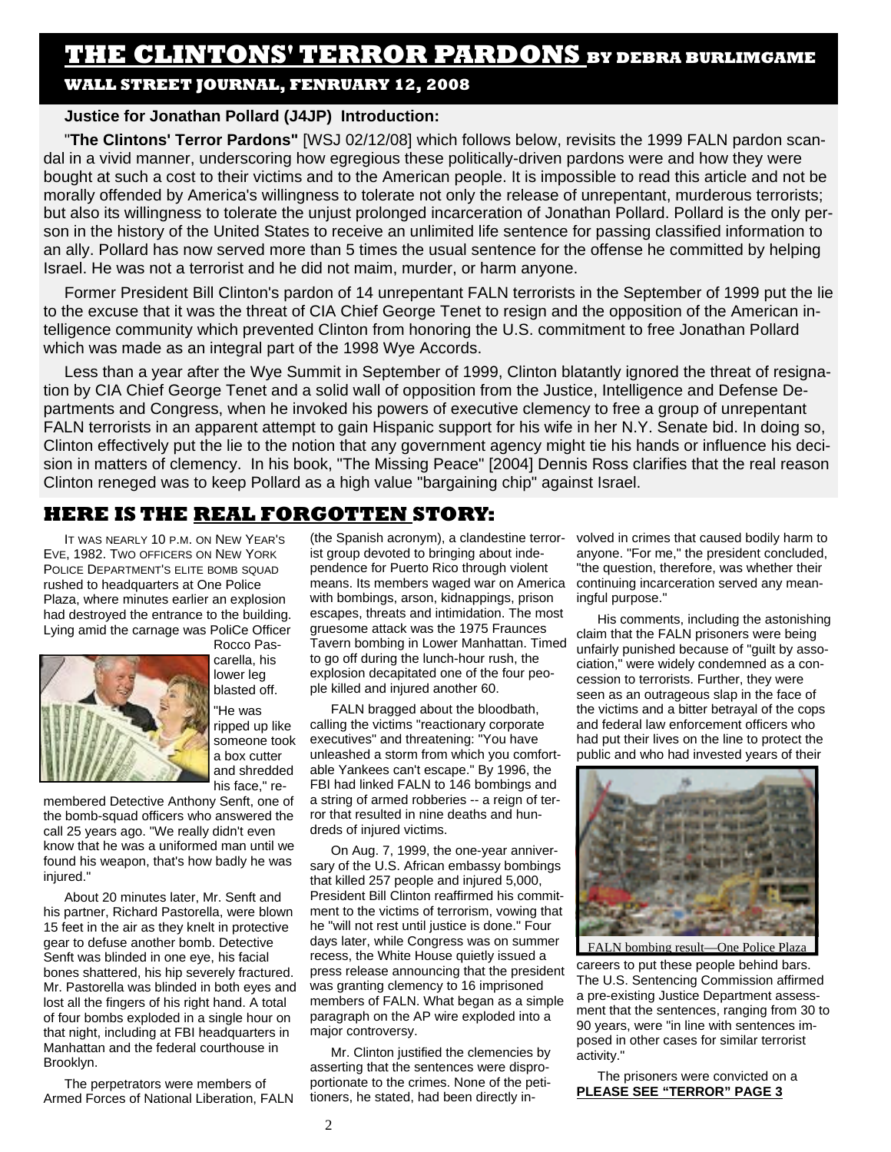# **THE CLINTONS' TERROR PARDONS BY DEBRA BURLIMGAME**

# **WALL STREET JOURNAL, FENRUARY 12, 2008**

## **Justice for Jonathan Pollard (J4JP) Introduction:**

"**The CIintons' Terror Pardons"** [WSJ 02/12/08] which follows below, revisits the 1999 FALN pardon scandal in a vivid manner, underscoring how egregious these politically-driven pardons were and how they were bought at such a cost to their victims and to the American people. It is impossible to read this article and not be morally offended by America's willingness to tolerate not only the release of unrepentant, murderous terrorists; but also its willingness to tolerate the unjust prolonged incarceration of Jonathan Pollard. Pollard is the only person in the history of the United States to receive an unlimited life sentence for passing classified information to an ally. Pollard has now served more than 5 times the usual sentence for the offense he committed by helping Israel. He was not a terrorist and he did not maim, murder, or harm anyone.

Former President Bill Clinton's pardon of 14 unrepentant FALN terrorists in the September of 1999 put the lie to the excuse that it was the threat of CIA Chief George Tenet to resign and the opposition of the American intelligence community which prevented Clinton from honoring the U.S. commitment to free Jonathan Pollard which was made as an integral part of the 1998 Wye Accords.

Less than a year after the Wye Summit in September of 1999, Clinton blatantly ignored the threat of resignation by CIA Chief George Tenet and a solid wall of opposition from the Justice, Intelligence and Defense Departments and Congress, when he invoked his powers of executive clemency to free a group of unrepentant FALN terrorists in an apparent attempt to gain Hispanic support for his wife in her N.Y. Senate bid. In doing so, Clinton effectively put the lie to the notion that any government agency might tie his hands or influence his decision in matters of clemency. In his book, "The Missing Peace" [2004] Dennis Ross clarifies that the real reason Clinton reneged was to keep Pollard as a high value "bargaining chip" against Israel.

# **HERE IS THE REAL FORGOTTEN STORY:**

IT WAS NEARLY 10 P.M. ON NEW YEAR'S EVE, 1982. TWO OFFICERS ON NEW YORK POLICE DEPARTMENT'S ELITE BOMB SQUAD rushed to headquarters at One Police Plaza, where minutes earlier an explosion had destroyed the entrance to the building. Lying amid the carnage was PoliCe Officer



Rocco Pascarella, his lower leg blasted off. "He was ripped up like someone took a box cutter and shredded

his face," re-

membered Detective Anthony Senft, one of the bomb-squad officers who answered the call 25 years ago. "We really didn't even know that he was a uniformed man until we found his weapon, that's how badly he was injured."

About 20 minutes later, Mr. Senft and his partner, Richard Pastorella, were blown 15 feet in the air as they knelt in protective gear to defuse another bomb. Detective Senft was blinded in one eye, his facial bones shattered, his hip severely fractured. Mr. Pastorella was blinded in both eyes and lost all the fingers of his right hand. A total of four bombs exploded in a single hour on that night, including at FBI headquarters in Manhattan and the federal courthouse in Brooklyn.

The perpetrators were members of Armed Forces of National Liberation, FALN

(the Spanish acronym), a clandestine terrorist group devoted to bringing about independence for Puerto Rico through violent means. Its members waged war on America with bombings, arson, kidnappings, prison escapes, threats and intimidation. The most gruesome attack was the 1975 Fraunces Tavern bombing in Lower Manhattan. Timed to go off during the lunch-hour rush, the explosion decapitated one of the four people killed and injured another 60.

FALN bragged about the bloodbath, calling the victims "reactionary corporate executives" and threatening: "You have unleashed a storm from which you comfortable Yankees can't escape." By 1996, the FBI had linked FALN to 146 bombings and a string of armed robberies -- a reign of terror that resulted in nine deaths and hundreds of injured victims.

On Aug. 7, 1999, the one-year anniversary of the U.S. African embassy bombings that killed 257 people and injured 5,000, President Bill Clinton reaffirmed his commitment to the victims of terrorism, vowing that he "will not rest until justice is done." Four days later, while Congress was on summer recess, the White House quietly issued a press release announcing that the president was granting clemency to 16 imprisoned members of FALN. What began as a simple paragraph on the AP wire exploded into a major controversy.

Mr. Clinton justified the clemencies by asserting that the sentences were disproportionate to the crimes. None of the petitioners, he stated, had been directly involved in crimes that caused bodily harm to anyone. "For me," the president concluded, "the question, therefore, was whether their continuing incarceration served any meaningful purpose."

His comments, including the astonishing claim that the FALN prisoners were being unfairly punished because of "guilt by association," were widely condemned as a concession to terrorists. Further, they were seen as an outrageous slap in the face of the victims and a bitter betrayal of the cops and federal law enforcement officers who had put their lives on the line to protect the public and who had invested years of their



FALN bombing result—One Police Plaza

careers to put these people behind bars. The U.S. Sentencing Commission affirmed a pre-existing Justice Department assessment that the sentences, ranging from 30 to 90 years, were "in line with sentences imposed in other cases for similar terrorist activity."

The prisoners were convicted on a **PLEASE SEE "TERROR" PAGE 3**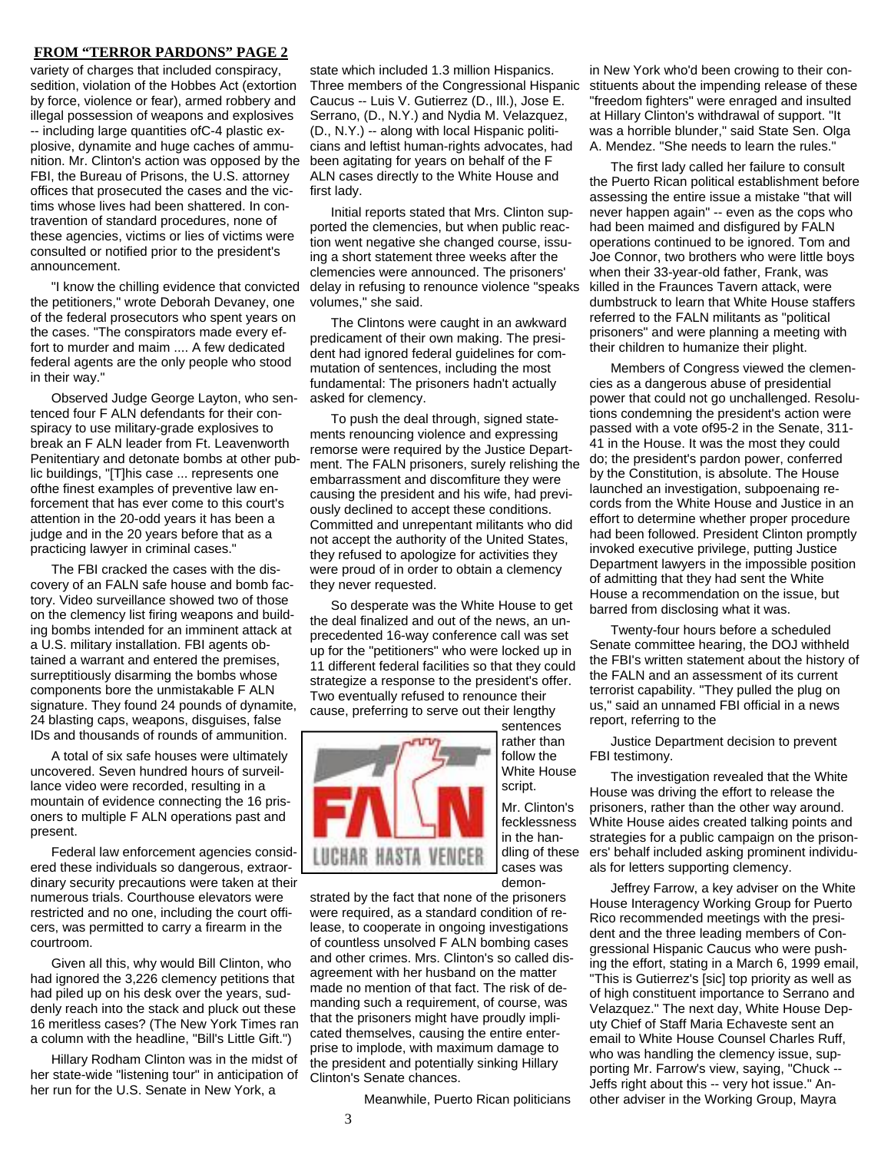## **FROM "TERROR PARDONS" PAGE 2**

variety of charges that included conspiracy, sedition, violation of the Hobbes Act (extortion by force, violence or fear), armed robbery and illegal possession of weapons and explosives -- including large quantities ofC-4 plastic explosive, dynamite and huge caches of ammunition. Mr. Clinton's action was opposed by the FBI, the Bureau of Prisons, the U.S. attorney offices that prosecuted the cases and the victims whose lives had been shattered. In contravention of standard procedures, none of these agencies, victims or lies of victims were consulted or notified prior to the president's announcement.

"I know the chilling evidence that convicted the petitioners," wrote Deborah Devaney, one of the federal prosecutors who spent years on the cases. "The conspirators made every effort to murder and maim .... A few dedicated federal agents are the only people who stood in their way."

Observed Judge George Layton, who sentenced four F ALN defendants for their conspiracy to use military-grade explosives to break an F ALN leader from Ft. Leavenworth Penitentiary and detonate bombs at other public buildings, "[T]his case ... represents one ofthe finest examples of preventive law enforcement that has ever come to this court's attention in the 20-odd years it has been a judge and in the 20 years before that as a practicing lawyer in criminal cases."

The FBI cracked the cases with the discovery of an FALN safe house and bomb factory. Video surveillance showed two of those on the clemency list firing weapons and building bombs intended for an imminent attack at a U.S. military installation. FBI agents obtained a warrant and entered the premises, surreptitiously disarming the bombs whose components bore the unmistakable F ALN signature. They found 24 pounds of dynamite, 24 blasting caps, weapons, disguises, false IDs and thousands of rounds of ammunition.

A total of six safe houses were ultimately uncovered. Seven hundred hours of surveillance video were recorded, resulting in a mountain of evidence connecting the 16 prisoners to multiple F ALN operations past and present.

Federal law enforcement agencies considered these individuals so dangerous, extraordinary security precautions were taken at their numerous trials. Courthouse elevators were restricted and no one, including the court officers, was permitted to carry a firearm in the courtroom.

Given all this, why would Bill Clinton, who had ignored the 3,226 clemency petitions that had piled up on his desk over the years, suddenly reach into the stack and pluck out these 16 meritless cases? (The New York Times ran a column with the headline, "Bill's Little Gift.")

Hillary Rodham Clinton was in the midst of her state-wide "listening tour" in anticipation of her run for the U.S. Senate in New York, a

state which included 1.3 million Hispanics. Three members of the Congressional Hispanic Caucus -- Luis V. Gutierrez (D., Ill.), Jose E. Serrano, (D., N.Y.) and Nydia M. Velazquez, (D., N.Y.) -- along with local Hispanic politicians and leftist human-rights advocates, had been agitating for years on behalf of the F ALN cases directly to the White House and first lady.

Initial reports stated that Mrs. Clinton supported the clemencies, but when public reaction went negative she changed course, issuing a short statement three weeks after the clemencies were announced. The prisoners' delay in refusing to renounce violence "speaks volumes," she said.

The Clintons were caught in an awkward predicament of their own making. The president had ignored federal guidelines for commutation of sentences, including the most fundamental: The prisoners hadn't actually asked for clemency.

To push the deal through, signed statements renouncing violence and expressing remorse were required by the Justice Department. The FALN prisoners, surely relishing the embarrassment and discomfiture they were causing the president and his wife, had previously declined to accept these conditions. Committed and unrepentant militants who did not accept the authority of the United States, they refused to apologize for activities they were proud of in order to obtain a clemency they never requested.

So desperate was the White House to get the deal finalized and out of the news, an unprecedented 16-way conference call was set up for the "petitioners" who were locked up in 11 different federal facilities so that they could strategize a response to the president's offer. Two eventually refused to renounce their cause, preferring to serve out their lengthy

> sentences rather than follow the

script. Mr. Clinton's fecklessness in the handling of these

demon-



strated by the fact that none of the prisoners were required, as a standard condition of release, to cooperate in ongoing investigations of countless unsolved F ALN bombing cases and other crimes. Mrs. Clinton's so called disagreement with her husband on the matter made no mention of that fact. The risk of demanding such a requirement, of course, was that the prisoners might have proudly implicated themselves, causing the entire enterprise to implode, with maximum damage to the president and potentially sinking Hillary Clinton's Senate chances.

Meanwhile, Puerto Rican politicians

in New York who'd been crowing to their constituents about the impending release of these "freedom fighters" were enraged and insulted at Hillary Clinton's withdrawal of support. "It was a horrible blunder," said State Sen. Olga A. Mendez. "She needs to learn the rules."

The first lady called her failure to consult the Puerto Rican political establishment before assessing the entire issue a mistake "that will never happen again" -- even as the cops who had been maimed and disfigured by FALN operations continued to be ignored. Tom and Joe Connor, two brothers who were little boys when their 33-year-old father, Frank, was killed in the Fraunces Tavern attack, were dumbstruck to learn that White House staffers referred to the FALN militants as "political prisoners" and were planning a meeting with their children to humanize their plight.

Members of Congress viewed the clemencies as a dangerous abuse of presidential power that could not go unchallenged. Resolutions condemning the president's action were passed with a vote of95-2 in the Senate, 311- 41 in the House. It was the most they could do; the president's pardon power, conferred by the Constitution, is absolute. The House launched an investigation, subpoenaing records from the White House and Justice in an effort to determine whether proper procedure had been followed. President Clinton promptly invoked executive privilege, putting Justice Department lawyers in the impossible position of admitting that they had sent the White House a recommendation on the issue, but barred from disclosing what it was.

Twenty-four hours before a scheduled Senate committee hearing, the DOJ withheld the FBI's written statement about the history of the FALN and an assessment of its current terrorist capability. "They pulled the plug on us," said an unnamed FBI official in a news report, referring to the

Justice Department decision to prevent FBI testimony.

The investigation revealed that the White House was driving the effort to release the prisoners, rather than the other way around. White House aides created talking points and strategies for a public campaign on the prisoners' behalf included asking prominent individuals for letters supporting clemency.

Jeffrey Farrow, a key adviser on the White House Interagency Working Group for Puerto Rico recommended meetings with the president and the three leading members of Congressional Hispanic Caucus who were pushing the effort, stating in a March 6, 1999 email, "This is Gutierrez's [sic] top priority as well as of high constituent importance to Serrano and Velazquez." The next day, White House Deputy Chief of Staff Maria Echaveste sent an email to White House Counsel Charles Ruff, who was handling the clemency issue, supporting Mr. Farrow's view, saying, "Chuck -- Jeffs right about this -- very hot issue." Another adviser in the Working Group, Mayra